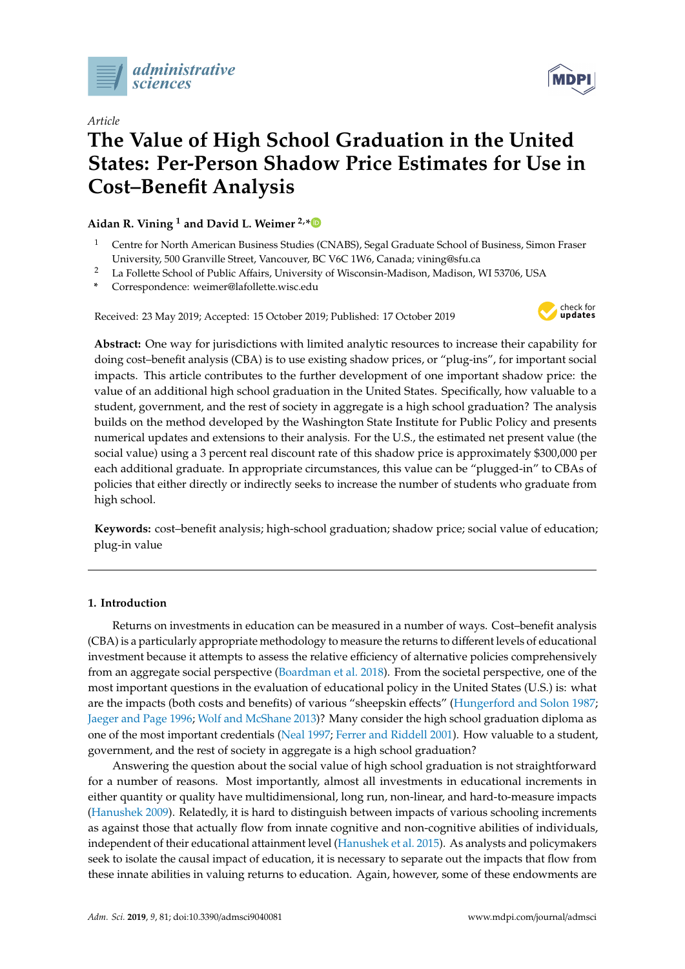

# *Article*

# **The Value of High School Graduation in the United States: Per-Person Shadow Price Estimates for Use in Cost–Benefit Analysis**

**Aidan R. Vining <sup>1</sup> and David L. Weimer 2,[\\*](https://orcid.org/0000-0001-9237-623X)**

- <sup>1</sup> Centre for North American Business Studies (CNABS), Segal Graduate School of Business, Simon Fraser University, 500 Granville Street, Vancouver, BC V6C 1W6, Canada; vining@sfu.ca
- <sup>2</sup> La Follette School of Public Affairs, University of Wisconsin-Madison, Madison, WI 53706, USA
- **\*** Correspondence: weimer@lafollette.wisc.edu

Received: 23 May 2019; Accepted: 15 October 2019; Published: 17 October 2019



**Abstract:** One way for jurisdictions with limited analytic resources to increase their capability for doing cost–benefit analysis (CBA) is to use existing shadow prices, or "plug-ins", for important social impacts. This article contributes to the further development of one important shadow price: the value of an additional high school graduation in the United States. Specifically, how valuable to a student, government, and the rest of society in aggregate is a high school graduation? The analysis builds on the method developed by the Washington State Institute for Public Policy and presents numerical updates and extensions to their analysis. For the U.S., the estimated net present value (the social value) using a 3 percent real discount rate of this shadow price is approximately \$300,000 per each additional graduate. In appropriate circumstances, this value can be "plugged-in" to CBAs of policies that either directly or indirectly seeks to increase the number of students who graduate from high school.

**Keywords:** cost–benefit analysis; high-school graduation; shadow price; social value of education; plug-in value

# **1. Introduction**

Returns on investments in education can be measured in a number of ways. Cost–benefit analysis (CBA) is a particularly appropriate methodology to measure the returns to different levels of educational investment because it attempts to assess the relative efficiency of alternative policies comprehensively from an aggregate social perspective [\(Boardman et al.](#page-12-0) [2018\)](#page-12-0). From the societal perspective, one of the most important questions in the evaluation of educational policy in the United States (U.S.) is: what are the impacts (both costs and benefits) of various "sheepskin effects" [\(Hungerford and Solon](#page-13-0) [1987;](#page-13-0) [Jaeger and Page](#page-13-1) [1996;](#page-13-1) [Wolf and McShane](#page-14-0) [2013\)](#page-14-0)? Many consider the high school graduation diploma as one of the most important credentials [\(Neal](#page-13-2) [1997;](#page-13-2) [Ferrer and Riddell](#page-13-3) [2001\)](#page-13-3). How valuable to a student, government, and the rest of society in aggregate is a high school graduation?

Answering the question about the social value of high school graduation is not straightforward for a number of reasons. Most importantly, almost all investments in educational increments in either quantity or quality have multidimensional, long run, non-linear, and hard-to-measure impacts [\(Hanushek](#page-13-4) [2009\)](#page-13-4). Relatedly, it is hard to distinguish between impacts of various schooling increments as against those that actually flow from innate cognitive and non-cognitive abilities of individuals, independent of their educational attainment level [\(Hanushek et al.](#page-13-5) [2015\)](#page-13-5). As analysts and policymakers seek to isolate the causal impact of education, it is necessary to separate out the impacts that flow from these innate abilities in valuing returns to education. Again, however, some of these endowments are

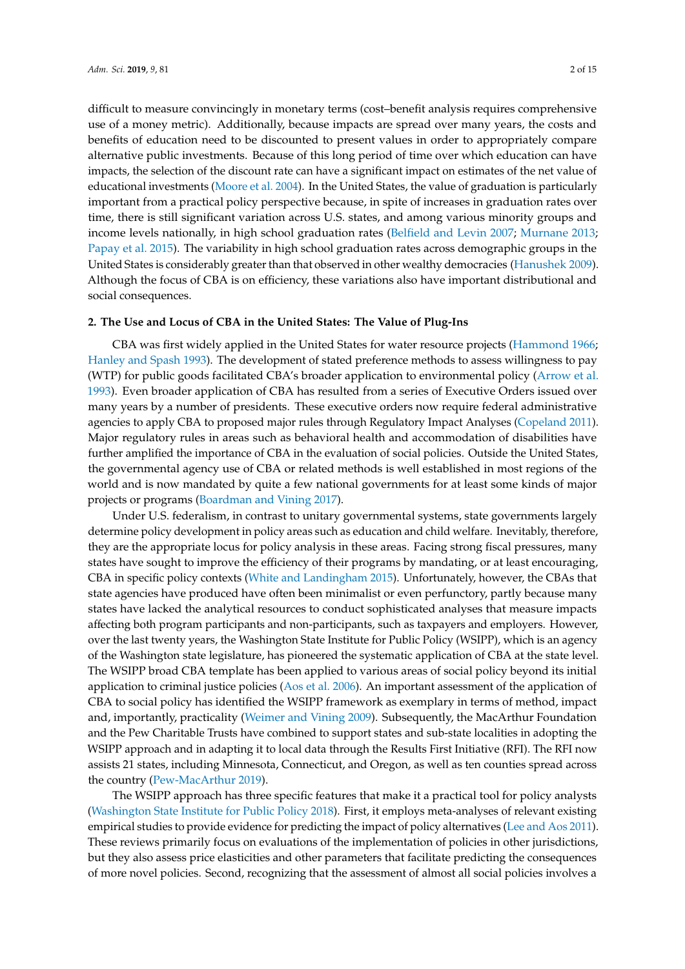difficult to measure convincingly in monetary terms (cost–benefit analysis requires comprehensive use of a money metric). Additionally, because impacts are spread over many years, the costs and benefits of education need to be discounted to present values in order to appropriately compare alternative public investments. Because of this long period of time over which education can have impacts, the selection of the discount rate can have a significant impact on estimates of the net value of educational investments [\(Moore et al.](#page-13-6) [2004\)](#page-13-6). In the United States, the value of graduation is particularly important from a practical policy perspective because, in spite of increases in graduation rates over time, there is still significant variation across U.S. states, and among various minority groups and income levels nationally, in high school graduation rates [\(Belfield and Levin](#page-12-1) [2007;](#page-12-1) [Murnane](#page-13-7) [2013;](#page-13-7) [Papay et al.](#page-14-1) [2015\)](#page-14-1). The variability in high school graduation rates across demographic groups in the United States is considerably greater than that observed in other wealthy democracies [\(Hanushek](#page-13-4) [2009\)](#page-13-4). Although the focus of CBA is on efficiency, these variations also have important distributional and social consequences.

## **2. The Use and Locus of CBA in the United States: The Value of Plug-Ins**

CBA was first widely applied in the United States for water resource projects [\(Hammond](#page-13-8) [1966;](#page-13-8) [Hanley and Spash](#page-13-9) [1993\)](#page-13-9). The development of stated preference methods to assess willingness to pay (WTP) for public goods facilitated CBA's broader application to environmental policy [\(Arrow et al.](#page-12-2) [1993\)](#page-12-2). Even broader application of CBA has resulted from a series of Executive Orders issued over many years by a number of presidents. These executive orders now require federal administrative agencies to apply CBA to proposed major rules through Regulatory Impact Analyses [\(Copeland](#page-12-3) [2011\)](#page-12-3). Major regulatory rules in areas such as behavioral health and accommodation of disabilities have further amplified the importance of CBA in the evaluation of social policies. Outside the United States, the governmental agency use of CBA or related methods is well established in most regions of the world and is now mandated by quite a few national governments for at least some kinds of major projects or programs [\(Boardman and Vining](#page-12-4) [2017\)](#page-12-4).

Under U.S. federalism, in contrast to unitary governmental systems, state governments largely determine policy development in policy areas such as education and child welfare. Inevitably, therefore, they are the appropriate locus for policy analysis in these areas. Facing strong fiscal pressures, many states have sought to improve the efficiency of their programs by mandating, or at least encouraging, CBA in specific policy contexts [\(White and Landingham](#page-14-2) [2015\)](#page-14-2). Unfortunately, however, the CBAs that state agencies have produced have often been minimalist or even perfunctory, partly because many states have lacked the analytical resources to conduct sophisticated analyses that measure impacts affecting both program participants and non-participants, such as taxpayers and employers. However, over the last twenty years, the Washington State Institute for Public Policy (WSIPP), which is an agency of the Washington state legislature, has pioneered the systematic application of CBA at the state level. The WSIPP broad CBA template has been applied to various areas of social policy beyond its initial application to criminal justice policies [\(Aos et al.](#page-12-5) [2006\)](#page-12-5). An important assessment of the application of CBA to social policy has identified the WSIPP framework as exemplary in terms of method, impact and, importantly, practicality [\(Weimer and Vining](#page-14-3) [2009\)](#page-14-3). Subsequently, the MacArthur Foundation and the Pew Charitable Trusts have combined to support states and sub-state localities in adopting the WSIPP approach and in adapting it to local data through the Results First Initiative (RFI). The RFI now assists 21 states, including Minnesota, Connecticut, and Oregon, as well as ten counties spread across the country [\(Pew-MacArthur](#page-14-4) [2019\)](#page-14-4).

The WSIPP approach has three specific features that make it a practical tool for policy analysts [\(Washington State Institute for Public Policy](#page-14-5) [2018\)](#page-14-5). First, it employs meta-analyses of relevant existing empirical studies to provide evidence for predicting the impact of policy alternatives [\(Lee and Aos](#page-13-10) [2011\)](#page-13-10). These reviews primarily focus on evaluations of the implementation of policies in other jurisdictions, but they also assess price elasticities and other parameters that facilitate predicting the consequences of more novel policies. Second, recognizing that the assessment of almost all social policies involves a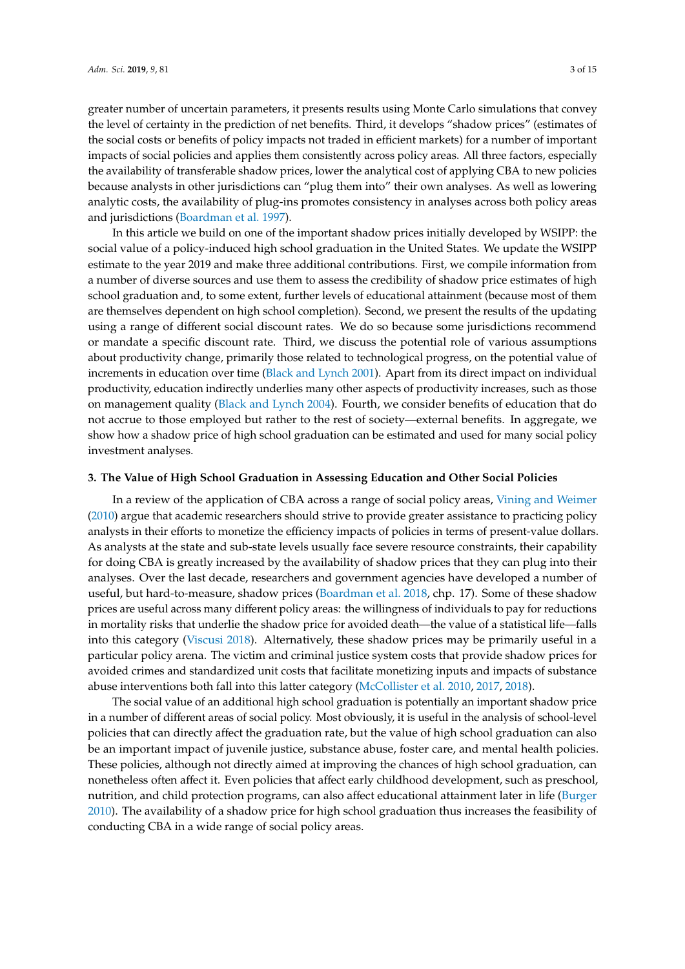greater number of uncertain parameters, it presents results using Monte Carlo simulations that convey the level of certainty in the prediction of net benefits. Third, it develops "shadow prices" (estimates of the social costs or benefits of policy impacts not traded in efficient markets) for a number of important impacts of social policies and applies them consistently across policy areas. All three factors, especially the availability of transferable shadow prices, lower the analytical cost of applying CBA to new policies because analysts in other jurisdictions can "plug them into" their own analyses. As well as lowering analytic costs, the availability of plug-ins promotes consistency in analyses across both policy areas and jurisdictions [\(Boardman et al.](#page-12-6) [1997\)](#page-12-6).

In this article we build on one of the important shadow prices initially developed by WSIPP: the social value of a policy-induced high school graduation in the United States. We update the WSIPP estimate to the year 2019 and make three additional contributions. First, we compile information from a number of diverse sources and use them to assess the credibility of shadow price estimates of high school graduation and, to some extent, further levels of educational attainment (because most of them are themselves dependent on high school completion). Second, we present the results of the updating using a range of different social discount rates. We do so because some jurisdictions recommend or mandate a specific discount rate. Third, we discuss the potential role of various assumptions about productivity change, primarily those related to technological progress, on the potential value of increments in education over time [\(Black and Lynch](#page-12-7) [2001\)](#page-12-7). Apart from its direct impact on individual productivity, education indirectly underlies many other aspects of productivity increases, such as those on management quality [\(Black and Lynch](#page-12-8) [2004\)](#page-12-8). Fourth, we consider benefits of education that do not accrue to those employed but rather to the rest of society—external benefits. In aggregate, we show how a shadow price of high school graduation can be estimated and used for many social policy investment analyses.

# **3. The Value of High School Graduation in Assessing Education and Other Social Policies**

In a review of the application of CBA across a range of social policy areas, [Vining and Weimer](#page-14-6) [\(2010\)](#page-14-6) argue that academic researchers should strive to provide greater assistance to practicing policy analysts in their efforts to monetize the efficiency impacts of policies in terms of present-value dollars. As analysts at the state and sub-state levels usually face severe resource constraints, their capability for doing CBA is greatly increased by the availability of shadow prices that they can plug into their analyses. Over the last decade, researchers and government agencies have developed a number of useful, but hard-to-measure, shadow prices [\(Boardman et al.](#page-12-0) [2018,](#page-12-0) chp. 17). Some of these shadow prices are useful across many different policy areas: the willingness of individuals to pay for reductions in mortality risks that underlie the shadow price for avoided death—the value of a statistical life—falls into this category [\(Viscusi](#page-14-7) [2018\)](#page-14-7). Alternatively, these shadow prices may be primarily useful in a particular policy arena. The victim and criminal justice system costs that provide shadow prices for avoided crimes and standardized unit costs that facilitate monetizing inputs and impacts of substance abuse interventions both fall into this latter category [\(McCollister et al.](#page-13-11) [2010,](#page-13-11) [2017,](#page-13-12) [2018\)](#page-13-13).

The social value of an additional high school graduation is potentially an important shadow price in a number of different areas of social policy. Most obviously, it is useful in the analysis of school-level policies that can directly affect the graduation rate, but the value of high school graduation can also be an important impact of juvenile justice, substance abuse, foster care, and mental health policies. These policies, although not directly aimed at improving the chances of high school graduation, can nonetheless often affect it. Even policies that affect early childhood development, such as preschool, nutrition, and child protection programs, can also affect educational attainment later in life [\(Burger](#page-12-9) [2010\)](#page-12-9). The availability of a shadow price for high school graduation thus increases the feasibility of conducting CBA in a wide range of social policy areas.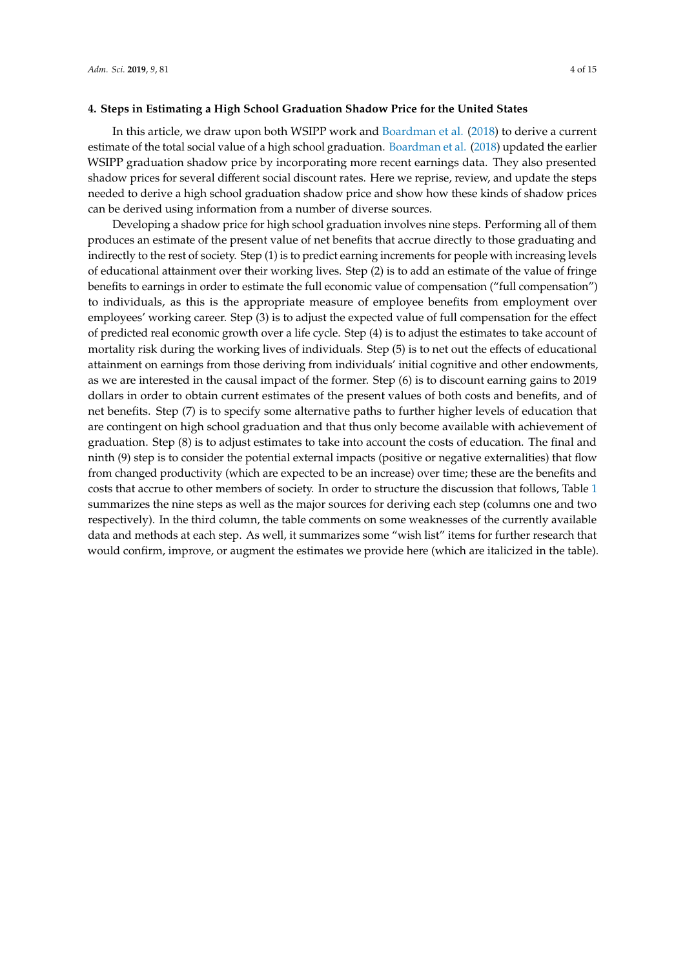#### **4. Steps in Estimating a High School Graduation Shadow Price for the United States**

In this article, we draw upon both WSIPP work and [Boardman et al.](#page-12-0) [\(2018\)](#page-12-0) to derive a current estimate of the total social value of a high school graduation. [Boardman et al.](#page-12-0) [\(2018\)](#page-12-0) updated the earlier WSIPP graduation shadow price by incorporating more recent earnings data. They also presented shadow prices for several different social discount rates. Here we reprise, review, and update the steps needed to derive a high school graduation shadow price and show how these kinds of shadow prices can be derived using information from a number of diverse sources.

Developing a shadow price for high school graduation involves nine steps. Performing all of them produces an estimate of the present value of net benefits that accrue directly to those graduating and indirectly to the rest of society. Step (1) is to predict earning increments for people with increasing levels of educational attainment over their working lives. Step (2) is to add an estimate of the value of fringe benefits to earnings in order to estimate the full economic value of compensation ("full compensation") to individuals, as this is the appropriate measure of employee benefits from employment over employees' working career. Step (3) is to adjust the expected value of full compensation for the effect of predicted real economic growth over a life cycle. Step (4) is to adjust the estimates to take account of mortality risk during the working lives of individuals. Step (5) is to net out the effects of educational attainment on earnings from those deriving from individuals' initial cognitive and other endowments, as we are interested in the causal impact of the former. Step (6) is to discount earning gains to 2019 dollars in order to obtain current estimates of the present values of both costs and benefits, and of net benefits. Step (7) is to specify some alternative paths to further higher levels of education that are contingent on high school graduation and that thus only become available with achievement of graduation. Step (8) is to adjust estimates to take into account the costs of education. The final and ninth (9) step is to consider the potential external impacts (positive or negative externalities) that flow from changed productivity (which are expected to be an increase) over time; these are the benefits and costs that accrue to other members of society. In order to structure the discussion that follows, Table [1](#page-4-0) summarizes the nine steps as well as the major sources for deriving each step (columns one and two respectively). In the third column, the table comments on some weaknesses of the currently available data and methods at each step. As well, it summarizes some "wish list" items for further research that would confirm, improve, or augment the estimates we provide here (which are italicized in the table).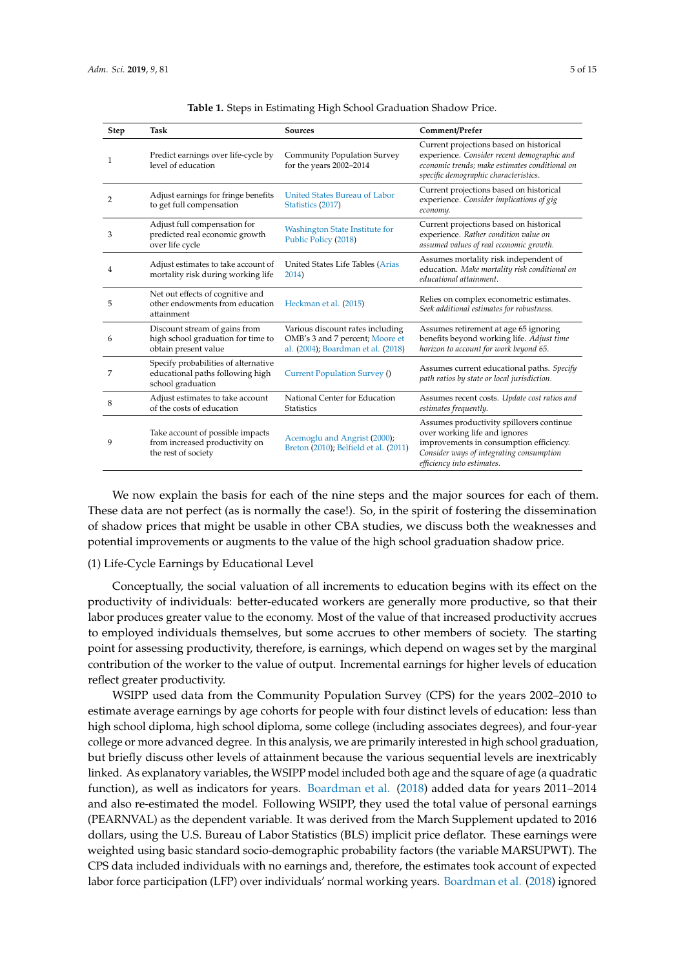<span id="page-4-0"></span>

| <b>Step</b>    | <b>Task</b>                                                                                   | <b>Sources</b>                                                                                            | Comment/Prefer                                                                                                                                                                                 |
|----------------|-----------------------------------------------------------------------------------------------|-----------------------------------------------------------------------------------------------------------|------------------------------------------------------------------------------------------------------------------------------------------------------------------------------------------------|
| 1              | Predict earnings over life-cycle by<br>level of education                                     | Community Population Survey<br>for the years 2002-2014                                                    | Current projections based on historical<br>experience. Consider recent demographic and<br>economic trends; make estimates conditional on<br>specific demographic characteristics.              |
| $\overline{2}$ | Adjust earnings for fringe benefits<br>to get full compensation                               | United States Bureau of Labor<br>Statistics (2017)                                                        | Current projections based on historical<br>experience. Consider implications of gig<br>есопоту.                                                                                                |
| 3              | Adjust full compensation for<br>predicted real economic growth<br>over life cycle             | Washington State Institute for<br>Public Policy (2018)                                                    | Current projections based on historical<br>experience. Rather condition value on<br>assumed values of real economic growth.                                                                    |
|                | Adjust estimates to take account of<br>mortality risk during working life                     | United States Life Tables (Arias<br>2014)                                                                 | Assumes mortality risk independent of<br>education. Make mortality risk conditional on<br>educational attainment.                                                                              |
| 5              | Net out effects of cognitive and<br>other endowments from education<br>attainment             | Heckman et al. (2015)                                                                                     | Relies on complex econometric estimates.<br>Seek additional estimates for robustness.                                                                                                          |
| 6              | Discount stream of gains from<br>high school graduation for time to<br>obtain present value   | Various discount rates including<br>OMB's 3 and 7 percent; Moore et<br>al. (2004); Boardman et al. (2018) | Assumes retirement at age 65 ignoring<br>benefits beyond working life. Adjust time<br>horizon to account for work beyond 65.                                                                   |
| 7              | Specify probabilities of alternative<br>educational paths following high<br>school graduation | <b>Current Population Survey ()</b>                                                                       | Assumes current educational paths. Specify<br>path ratios by state or local jurisdiction.                                                                                                      |
| 8              | Adjust estimates to take account<br>of the costs of education                                 | National Center for Education<br><b>Statistics</b>                                                        | Assumes recent costs. Update cost ratios and<br>estimates frequently.                                                                                                                          |
| 9              | Take account of possible impacts<br>from increased productivity on<br>the rest of society     | Acemoglu and Angrist (2000);<br>Breton (2010); Belfield et al. (2011)                                     | Assumes productivity spillovers continue<br>over working life and ignores<br>improvements in consumption efficiency.<br>Consider ways of integrating consumption<br>efficiency into estimates. |

**Table 1.** Steps in Estimating High School Graduation Shadow Price.

We now explain the basis for each of the nine steps and the major sources for each of them. These data are not perfect (as is normally the case!). So, in the spirit of fostering the dissemination of shadow prices that might be usable in other CBA studies, we discuss both the weaknesses and potential improvements or augments to the value of the high school graduation shadow price.

## (1) Life-Cycle Earnings by Educational Level

Conceptually, the social valuation of all increments to education begins with its effect on the productivity of individuals: better-educated workers are generally more productive, so that their labor produces greater value to the economy. Most of the value of that increased productivity accrues to employed individuals themselves, but some accrues to other members of society. The starting point for assessing productivity, therefore, is earnings, which depend on wages set by the marginal contribution of the worker to the value of output. Incremental earnings for higher levels of education reflect greater productivity.

WSIPP used data from the Community Population Survey (CPS) for the years 2002–2010 to estimate average earnings by age cohorts for people with four distinct levels of education: less than high school diploma, high school diploma, some college (including associates degrees), and four-year college or more advanced degree. In this analysis, we are primarily interested in high school graduation, but briefly discuss other levels of attainment because the various sequential levels are inextricably linked. As explanatory variables, the WSIPP model included both age and the square of age (a quadratic function), as well as indicators for years. [Boardman et al.](#page-12-0) [\(2018\)](#page-12-0) added data for years 2011–2014 and also re-estimated the model. Following WSIPP, they used the total value of personal earnings (PEARNVAL) as the dependent variable. It was derived from the March Supplement updated to 2016 dollars, using the U.S. Bureau of Labor Statistics (BLS) implicit price deflator. These earnings were weighted using basic standard socio-demographic probability factors (the variable MARSUPWT). The CPS data included individuals with no earnings and, therefore, the estimates took account of expected labor force participation (LFP) over individuals' normal working years. [Boardman et al.](#page-12-0) [\(2018\)](#page-12-0) ignored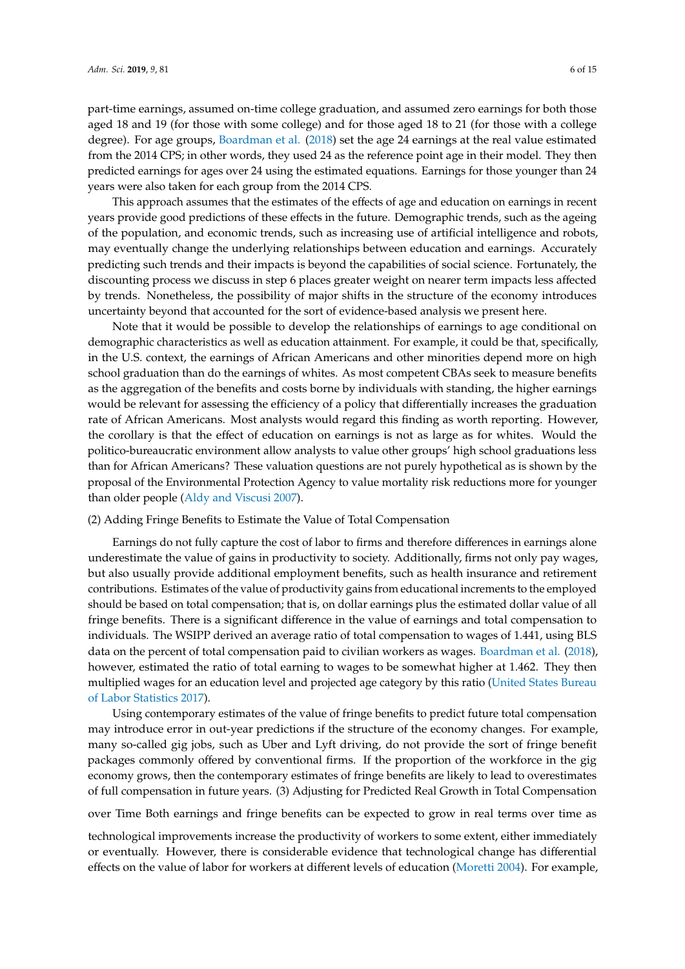part-time earnings, assumed on-time college graduation, and assumed zero earnings for both those aged 18 and 19 (for those with some college) and for those aged 18 to 21 (for those with a college degree). For age groups, [Boardman et al.](#page-12-0) [\(2018\)](#page-12-0) set the age 24 earnings at the real value estimated from the 2014 CPS; in other words, they used 24 as the reference point age in their model. They then predicted earnings for ages over 24 using the estimated equations. Earnings for those younger than 24 years were also taken for each group from the 2014 CPS.

This approach assumes that the estimates of the effects of age and education on earnings in recent years provide good predictions of these effects in the future. Demographic trends, such as the ageing of the population, and economic trends, such as increasing use of artificial intelligence and robots, may eventually change the underlying relationships between education and earnings. Accurately predicting such trends and their impacts is beyond the capabilities of social science. Fortunately, the discounting process we discuss in step 6 places greater weight on nearer term impacts less affected by trends. Nonetheless, the possibility of major shifts in the structure of the economy introduces uncertainty beyond that accounted for the sort of evidence-based analysis we present here.

Note that it would be possible to develop the relationships of earnings to age conditional on demographic characteristics as well as education attainment. For example, it could be that, specifically, in the U.S. context, the earnings of African Americans and other minorities depend more on high school graduation than do the earnings of whites. As most competent CBAs seek to measure benefits as the aggregation of the benefits and costs borne by individuals with standing, the higher earnings would be relevant for assessing the efficiency of a policy that differentially increases the graduation rate of African Americans. Most analysts would regard this finding as worth reporting. However, the corollary is that the effect of education on earnings is not as large as for whites. Would the politico-bureaucratic environment allow analysts to value other groups' high school graduations less than for African Americans? These valuation questions are not purely hypothetical as is shown by the proposal of the Environmental Protection Agency to value mortality risk reductions more for younger than older people [\(Aldy and Viscusi](#page-12-15) [2007\)](#page-12-15).

### (2) Adding Fringe Benefits to Estimate the Value of Total Compensation

Earnings do not fully capture the cost of labor to firms and therefore differences in earnings alone underestimate the value of gains in productivity to society. Additionally, firms not only pay wages, but also usually provide additional employment benefits, such as health insurance and retirement contributions. Estimates of the value of productivity gains from educational increments to the employed should be based on total compensation; that is, on dollar earnings plus the estimated dollar value of all fringe benefits. There is a significant difference in the value of earnings and total compensation to individuals. The WSIPP derived an average ratio of total compensation to wages of 1.441, using BLS data on the percent of total compensation paid to civilian workers as wages. [Boardman et al.](#page-12-0) [\(2018\)](#page-12-0), however, estimated the ratio of total earning to wages to be somewhat higher at 1.462. They then multiplied wages for an education level and projected age category by this ratio [\(United States Bureau](#page-14-8) [of Labor Statistics](#page-14-8) [2017\)](#page-14-8).

Using contemporary estimates of the value of fringe benefits to predict future total compensation may introduce error in out-year predictions if the structure of the economy changes. For example, many so-called gig jobs, such as Uber and Lyft driving, do not provide the sort of fringe benefit packages commonly offered by conventional firms. If the proportion of the workforce in the gig economy grows, then the contemporary estimates of fringe benefits are likely to lead to overestimates of full compensation in future years. (3) Adjusting for Predicted Real Growth in Total Compensation

over Time Both earnings and fringe benefits can be expected to grow in real terms over time as

technological improvements increase the productivity of workers to some extent, either immediately or eventually. However, there is considerable evidence that technological change has differential effects on the value of labor for workers at different levels of education [\(Moretti](#page-13-15) [2004\)](#page-13-15). For example,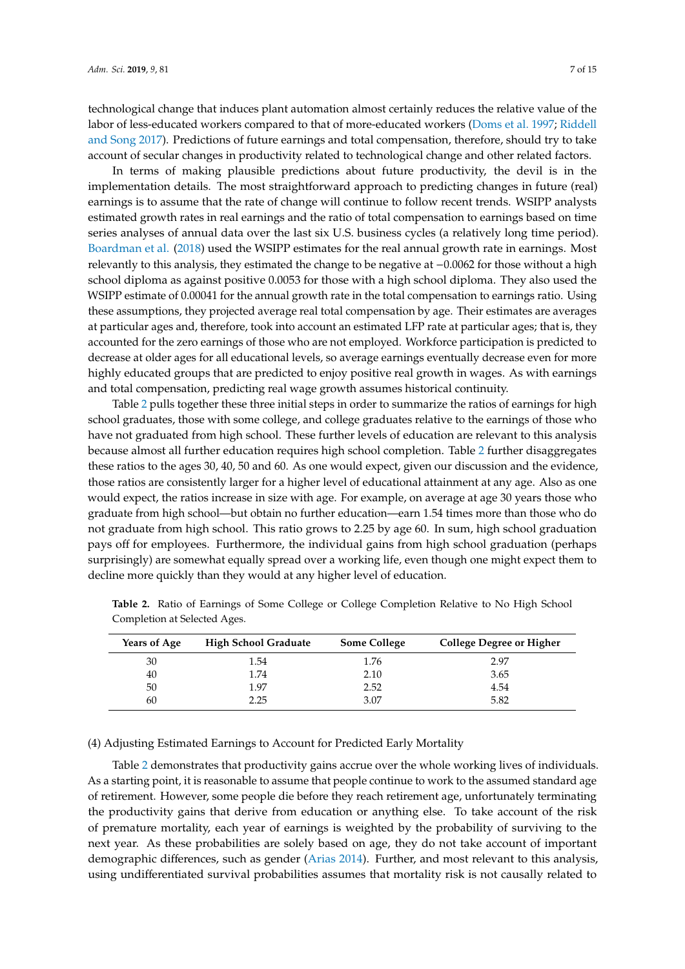technological change that induces plant automation almost certainly reduces the relative value of the labor of less-educated workers compared to that of more-educated workers [\(Doms et al.](#page-13-16) [1997;](#page-13-16) [Riddell](#page-14-9) [and Song](#page-14-9) [2017\)](#page-14-9). Predictions of future earnings and total compensation, therefore, should try to take account of secular changes in productivity related to technological change and other related factors.

In terms of making plausible predictions about future productivity, the devil is in the implementation details. The most straightforward approach to predicting changes in future (real) earnings is to assume that the rate of change will continue to follow recent trends. WSIPP analysts estimated growth rates in real earnings and the ratio of total compensation to earnings based on time series analyses of annual data over the last six U.S. business cycles (a relatively long time period). [Boardman et al.](#page-12-0) [\(2018\)](#page-12-0) used the WSIPP estimates for the real annual growth rate in earnings. Most relevantly to this analysis, they estimated the change to be negative at −0.0062 for those without a high school diploma as against positive 0.0053 for those with a high school diploma. They also used the WSIPP estimate of 0.00041 for the annual growth rate in the total compensation to earnings ratio. Using these assumptions, they projected average real total compensation by age. Their estimates are averages at particular ages and, therefore, took into account an estimated LFP rate at particular ages; that is, they accounted for the zero earnings of those who are not employed. Workforce participation is predicted to decrease at older ages for all educational levels, so average earnings eventually decrease even for more highly educated groups that are predicted to enjoy positive real growth in wages. As with earnings and total compensation, predicting real wage growth assumes historical continuity.

Table [2](#page-6-0) pulls together these three initial steps in order to summarize the ratios of earnings for high school graduates, those with some college, and college graduates relative to the earnings of those who have not graduated from high school. These further levels of education are relevant to this analysis because almost all further education requires high school completion. Table [2](#page-6-0) further disaggregates these ratios to the ages 30, 40, 50 and 60. As one would expect, given our discussion and the evidence, those ratios are consistently larger for a higher level of educational attainment at any age. Also as one would expect, the ratios increase in size with age. For example, on average at age 30 years those who graduate from high school—but obtain no further education—earn 1.54 times more than those who do not graduate from high school. This ratio grows to 2.25 by age 60. In sum, high school graduation pays off for employees. Furthermore, the individual gains from high school graduation (perhaps surprisingly) are somewhat equally spread over a working life, even though one might expect them to decline more quickly than they would at any higher level of education.

| Years of Age | <b>High School Graduate</b> | <b>Some College</b> | College Degree or Higher |
|--------------|-----------------------------|---------------------|--------------------------|
| 30           | 1.54                        | 1.76                | 2.97                     |
| 40           | 1.74                        | 2.10                | 3.65                     |
| 50           | 1.97                        | 2.52                | 4.54                     |
| 60           | 2.25                        | 3.07                | 5.82                     |
|              |                             |                     |                          |

<span id="page-6-0"></span>**Table 2.** Ratio of Earnings of Some College or College Completion Relative to No High School Completion at Selected Ages.

(4) Adjusting Estimated Earnings to Account for Predicted Early Mortality

Table [2](#page-6-0) demonstrates that productivity gains accrue over the whole working lives of individuals. As a starting point, it is reasonable to assume that people continue to work to the assumed standard age of retirement. However, some people die before they reach retirement age, unfortunately terminating the productivity gains that derive from education or anything else. To take account of the risk of premature mortality, each year of earnings is weighted by the probability of surviving to the next year. As these probabilities are solely based on age, they do not take account of important demographic differences, such as gender [\(Arias](#page-12-10) [2014\)](#page-12-10). Further, and most relevant to this analysis, using undifferentiated survival probabilities assumes that mortality risk is not causally related to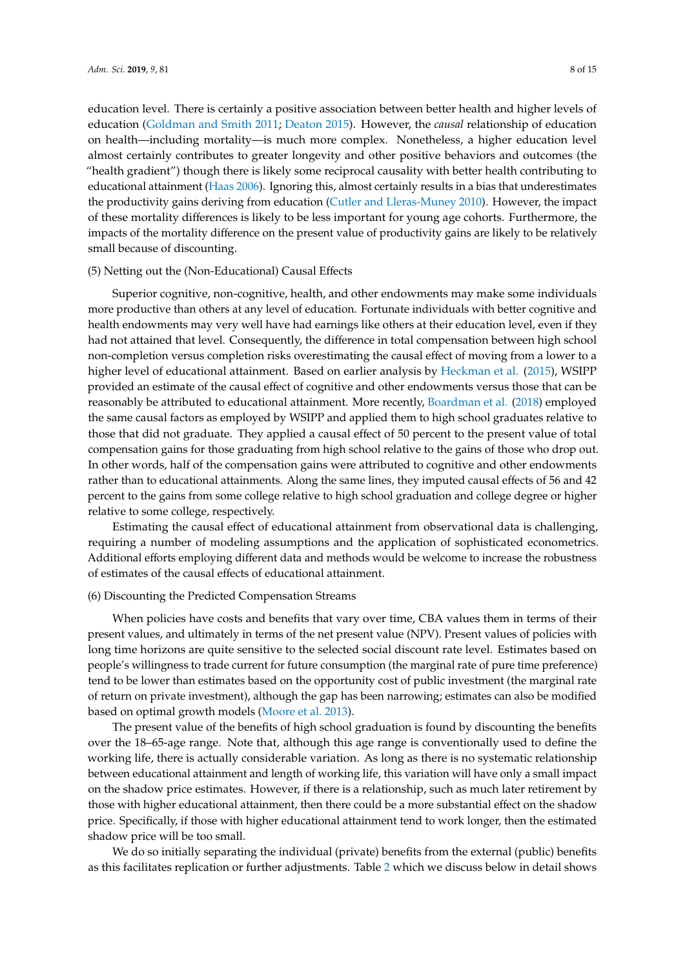education level. There is certainly a positive association between better health and higher levels of education [\(Goldman and Smith](#page-13-17) [2011;](#page-13-17) [Deaton](#page-12-16) [2015\)](#page-12-16). However, the *causal* relationship of education on health—including mortality—is much more complex. Nonetheless, a higher education level almost certainly contributes to greater longevity and other positive behaviors and outcomes (the "health gradient") though there is likely some reciprocal causality with better health contributing to educational attainment [\(Haas](#page-13-18) [2006\)](#page-13-18). Ignoring this, almost certainly results in a bias that underestimates the productivity gains deriving from education [\(Cutler and Lleras-Muney](#page-12-17) [2010\)](#page-12-17). However, the impact of these mortality differences is likely to be less important for young age cohorts. Furthermore, the impacts of the mortality difference on the present value of productivity gains are likely to be relatively small because of discounting.

## (5) Netting out the (Non-Educational) Causal Effects

Superior cognitive, non-cognitive, health, and other endowments may make some individuals more productive than others at any level of education. Fortunate individuals with better cognitive and health endowments may very well have had earnings like others at their education level, even if they had not attained that level. Consequently, the difference in total compensation between high school non-completion versus completion risks overestimating the causal effect of moving from a lower to a higher level of educational attainment. Based on earlier analysis by [Heckman et al.](#page-13-14) [\(2015\)](#page-13-14), WSIPP provided an estimate of the causal effect of cognitive and other endowments versus those that can be reasonably be attributed to educational attainment. More recently, [Boardman et al.](#page-12-0) [\(2018\)](#page-12-0) employed the same causal factors as employed by WSIPP and applied them to high school graduates relative to those that did not graduate. They applied a causal effect of 50 percent to the present value of total compensation gains for those graduating from high school relative to the gains of those who drop out. In other words, half of the compensation gains were attributed to cognitive and other endowments rather than to educational attainments. Along the same lines, they imputed causal effects of 56 and 42 percent to the gains from some college relative to high school graduation and college degree or higher relative to some college, respectively.

Estimating the causal effect of educational attainment from observational data is challenging, requiring a number of modeling assumptions and the application of sophisticated econometrics. Additional efforts employing different data and methods would be welcome to increase the robustness of estimates of the causal effects of educational attainment.

### (6) Discounting the Predicted Compensation Streams

When policies have costs and benefits that vary over time, CBA values them in terms of their present values, and ultimately in terms of the net present value (NPV). Present values of policies with long time horizons are quite sensitive to the selected social discount rate level. Estimates based on people's willingness to trade current for future consumption (the marginal rate of pure time preference) tend to be lower than estimates based on the opportunity cost of public investment (the marginal rate of return on private investment), although the gap has been narrowing; estimates can also be modified based on optimal growth models [\(Moore et al.](#page-13-19) [2013\)](#page-13-19).

The present value of the benefits of high school graduation is found by discounting the benefits over the 18–65-age range. Note that, although this age range is conventionally used to define the working life, there is actually considerable variation. As long as there is no systematic relationship between educational attainment and length of working life, this variation will have only a small impact on the shadow price estimates. However, if there is a relationship, such as much later retirement by those with higher educational attainment, then there could be a more substantial effect on the shadow price. Specifically, if those with higher educational attainment tend to work longer, then the estimated shadow price will be too small.

We do so initially separating the individual (private) benefits from the external (public) benefits as this facilitates replication or further adjustments. Table [2](#page-6-0) which we discuss below in detail shows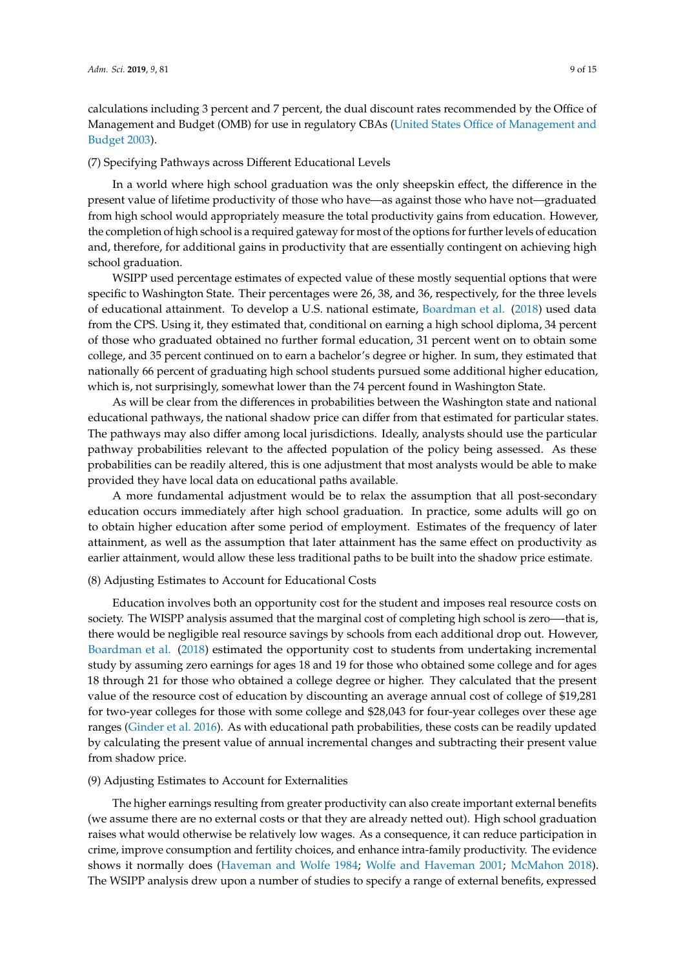#### (7) Specifying Pathways across Different Educational Levels

In a world where high school graduation was the only sheepskin effect, the difference in the present value of lifetime productivity of those who have—as against those who have not—graduated from high school would appropriately measure the total productivity gains from education. However, the completion of high school is a required gateway for most of the options for further levels of education and, therefore, for additional gains in productivity that are essentially contingent on achieving high school graduation.

WSIPP used percentage estimates of expected value of these mostly sequential options that were specific to Washington State. Their percentages were 26, 38, and 36, respectively, for the three levels of educational attainment. To develop a U.S. national estimate, [Boardman et al.](#page-12-0) [\(2018\)](#page-12-0) used data from the CPS. Using it, they estimated that, conditional on earning a high school diploma, 34 percent of those who graduated obtained no further formal education, 31 percent went on to obtain some college, and 35 percent continued on to earn a bachelor's degree or higher. In sum, they estimated that nationally 66 percent of graduating high school students pursued some additional higher education, which is, not surprisingly, somewhat lower than the 74 percent found in Washington State.

As will be clear from the differences in probabilities between the Washington state and national educational pathways, the national shadow price can differ from that estimated for particular states. The pathways may also differ among local jurisdictions. Ideally, analysts should use the particular pathway probabilities relevant to the affected population of the policy being assessed. As these probabilities can be readily altered, this is one adjustment that most analysts would be able to make provided they have local data on educational paths available.

A more fundamental adjustment would be to relax the assumption that all post-secondary education occurs immediately after high school graduation. In practice, some adults will go on to obtain higher education after some period of employment. Estimates of the frequency of later attainment, as well as the assumption that later attainment has the same effect on productivity as earlier attainment, would allow these less traditional paths to be built into the shadow price estimate.

#### (8) Adjusting Estimates to Account for Educational Costs

Education involves both an opportunity cost for the student and imposes real resource costs on society. The WISPP analysis assumed that the marginal cost of completing high school is zero—-that is, there would be negligible real resource savings by schools from each additional drop out. However, [Boardman et al.](#page-12-0) [\(2018\)](#page-12-0) estimated the opportunity cost to students from undertaking incremental study by assuming zero earnings for ages 18 and 19 for those who obtained some college and for ages 18 through 21 for those who obtained a college degree or higher. They calculated that the present value of the resource cost of education by discounting an average annual cost of college of \$19,281 for two-year colleges for those with some college and \$28,043 for four-year colleges over these age ranges [\(Ginder et al.](#page-13-20) [2016\)](#page-13-20). As with educational path probabilities, these costs can be readily updated by calculating the present value of annual incremental changes and subtracting their present value from shadow price.

#### (9) Adjusting Estimates to Account for Externalities

The higher earnings resulting from greater productivity can also create important external benefits (we assume there are no external costs or that they are already netted out). High school graduation raises what would otherwise be relatively low wages. As a consequence, it can reduce participation in crime, improve consumption and fertility choices, and enhance intra-family productivity. The evidence shows it normally does [\(Haveman and Wolfe](#page-13-21) [1984;](#page-13-21) [Wolfe and Haveman](#page-14-11) [2001;](#page-14-11) [McMahon](#page-13-22) [2018\)](#page-13-22). The WSIPP analysis drew upon a number of studies to specify a range of external benefits, expressed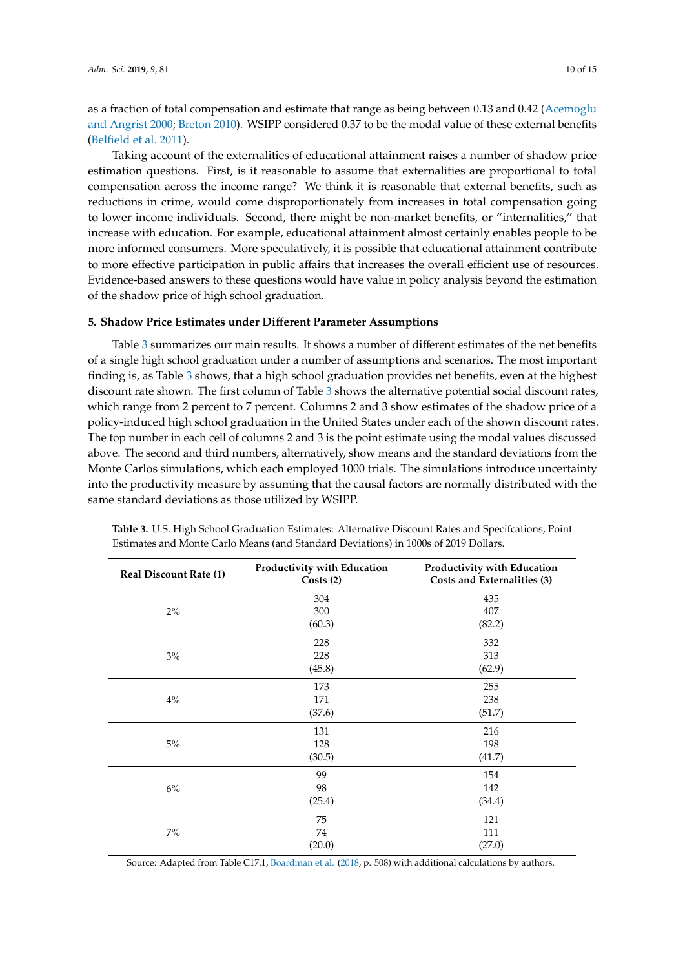as a fraction of total compensation and estimate that range as being between 0.13 and 0.42 [\(Acemoglu](#page-12-12) [and Angrist](#page-12-12) [2000;](#page-12-12) [Breton](#page-12-13) [2010\)](#page-12-13). WSIPP considered 0.37 to be the modal value of these external benefits [\(Belfield et al.](#page-12-14) [2011\)](#page-12-14).

Taking account of the externalities of educational attainment raises a number of shadow price estimation questions. First, is it reasonable to assume that externalities are proportional to total compensation across the income range? We think it is reasonable that external benefits, such as reductions in crime, would come disproportionately from increases in total compensation going to lower income individuals. Second, there might be non-market benefits, or "internalities," that increase with education. For example, educational attainment almost certainly enables people to be more informed consumers. More speculatively, it is possible that educational attainment contribute to more effective participation in public affairs that increases the overall efficient use of resources. Evidence-based answers to these questions would have value in policy analysis beyond the estimation of the shadow price of high school graduation.

# **5. Shadow Price Estimates under Di**ff**erent Parameter Assumptions**

Table [3](#page-9-0) summarizes our main results. It shows a number of different estimates of the net benefits of a single high school graduation under a number of assumptions and scenarios. The most important finding is, as Table [3](#page-9-0) shows, that a high school graduation provides net benefits, even at the highest discount rate shown. The first column of Table [3](#page-9-0) shows the alternative potential social discount rates, which range from 2 percent to 7 percent. Columns 2 and 3 show estimates of the shadow price of a policy-induced high school graduation in the United States under each of the shown discount rates. The top number in each cell of columns 2 and 3 is the point estimate using the modal values discussed above. The second and third numbers, alternatively, show means and the standard deviations from the Monte Carlos simulations, which each employed 1000 trials. The simulations introduce uncertainty into the productivity measure by assuming that the causal factors are normally distributed with the same standard deviations as those utilized by WSIPP.

| <b>Real Discount Rate (1)</b> | Productivity with Education<br>Costs(2) | Productivity with Education<br>Costs and Externalities (3) |
|-------------------------------|-----------------------------------------|------------------------------------------------------------|
|                               | 304                                     | 435                                                        |
| 2%                            | 300                                     | 407                                                        |
|                               | (60.3)                                  | (82.2)                                                     |
|                               | 228                                     | 332                                                        |
| 3%                            | 228                                     | 313                                                        |
|                               | (45.8)                                  | (62.9)                                                     |
|                               | 173                                     | 255                                                        |
| 4%                            | 171                                     | 238                                                        |
|                               | (37.6)                                  | (51.7)                                                     |
|                               | 131                                     | 216                                                        |
| $5\%$                         | 128                                     | 198                                                        |
|                               | (30.5)                                  | (41.7)                                                     |
|                               | 99                                      | 154                                                        |
| 6%                            | 98                                      | 142                                                        |
|                               | (25.4)                                  | (34.4)                                                     |
|                               | 75                                      | 121                                                        |
| 7%                            | 74                                      | 111                                                        |
|                               | (20.0)                                  | (27.0)                                                     |

<span id="page-9-0"></span>**Table 3.** U.S. High School Graduation Estimates: Alternative Discount Rates and Specifcations, Point Estimates and Monte Carlo Means (and Standard Deviations) in 1000s of 2019 Dollars.

Source: Adapted from Table C17.1, [Boardman et al.](#page-12-0) [\(2018,](#page-12-0) p. 508) with additional calculations by authors.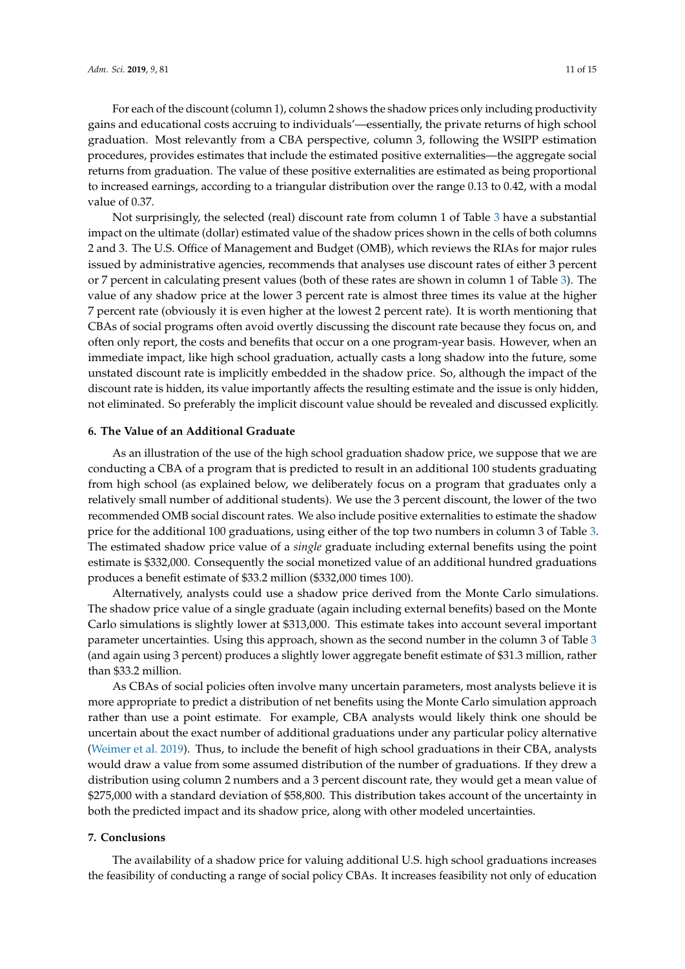For each of the discount (column 1), column 2 shows the shadow prices only including productivity gains and educational costs accruing to individuals'—essentially, the private returns of high school graduation. Most relevantly from a CBA perspective, column 3, following the WSIPP estimation procedures, provides estimates that include the estimated positive externalities—the aggregate social returns from graduation. The value of these positive externalities are estimated as being proportional to increased earnings, according to a triangular distribution over the range 0.13 to 0.42, with a modal value of 0.37.

Not surprisingly, the selected (real) discount rate from column 1 of Table [3](#page-9-0) have a substantial impact on the ultimate (dollar) estimated value of the shadow prices shown in the cells of both columns 2 and 3. The U.S. Office of Management and Budget (OMB), which reviews the RIAs for major rules issued by administrative agencies, recommends that analyses use discount rates of either 3 percent or 7 percent in calculating present values (both of these rates are shown in column 1 of Table [3\)](#page-9-0). The value of any shadow price at the lower 3 percent rate is almost three times its value at the higher 7 percent rate (obviously it is even higher at the lowest 2 percent rate). It is worth mentioning that CBAs of social programs often avoid overtly discussing the discount rate because they focus on, and often only report, the costs and benefits that occur on a one program-year basis. However, when an immediate impact, like high school graduation, actually casts a long shadow into the future, some unstated discount rate is implicitly embedded in the shadow price. So, although the impact of the discount rate is hidden, its value importantly affects the resulting estimate and the issue is only hidden, not eliminated. So preferably the implicit discount value should be revealed and discussed explicitly.

#### **6. The Value of an Additional Graduate**

As an illustration of the use of the high school graduation shadow price, we suppose that we are conducting a CBA of a program that is predicted to result in an additional 100 students graduating from high school (as explained below, we deliberately focus on a program that graduates only a relatively small number of additional students). We use the 3 percent discount, the lower of the two recommended OMB social discount rates. We also include positive externalities to estimate the shadow price for the additional 100 graduations, using either of the top two numbers in column 3 of Table [3.](#page-9-0) The estimated shadow price value of a *single* graduate including external benefits using the point estimate is \$332,000. Consequently the social monetized value of an additional hundred graduations produces a benefit estimate of \$33.2 million (\$332,000 times 100).

Alternatively, analysts could use a shadow price derived from the Monte Carlo simulations. The shadow price value of a single graduate (again including external benefits) based on the Monte Carlo simulations is slightly lower at \$313,000. This estimate takes into account several important parameter uncertainties. Using this approach, shown as the second number in the column 3 of Table [3](#page-9-0) (and again using 3 percent) produces a slightly lower aggregate benefit estimate of \$31.3 million, rather than \$33.2 million.

As CBAs of social policies often involve many uncertain parameters, most analysts believe it is more appropriate to predict a distribution of net benefits using the Monte Carlo simulation approach rather than use a point estimate. For example, CBA analysts would likely think one should be uncertain about the exact number of additional graduations under any particular policy alternative [\(Weimer et al.](#page-14-12) [2019\)](#page-14-12). Thus, to include the benefit of high school graduations in their CBA, analysts would draw a value from some assumed distribution of the number of graduations. If they drew a distribution using column 2 numbers and a 3 percent discount rate, they would get a mean value of \$275,000 with a standard deviation of \$58,800. This distribution takes account of the uncertainty in both the predicted impact and its shadow price, along with other modeled uncertainties.

## **7. Conclusions**

The availability of a shadow price for valuing additional U.S. high school graduations increases the feasibility of conducting a range of social policy CBAs. It increases feasibility not only of education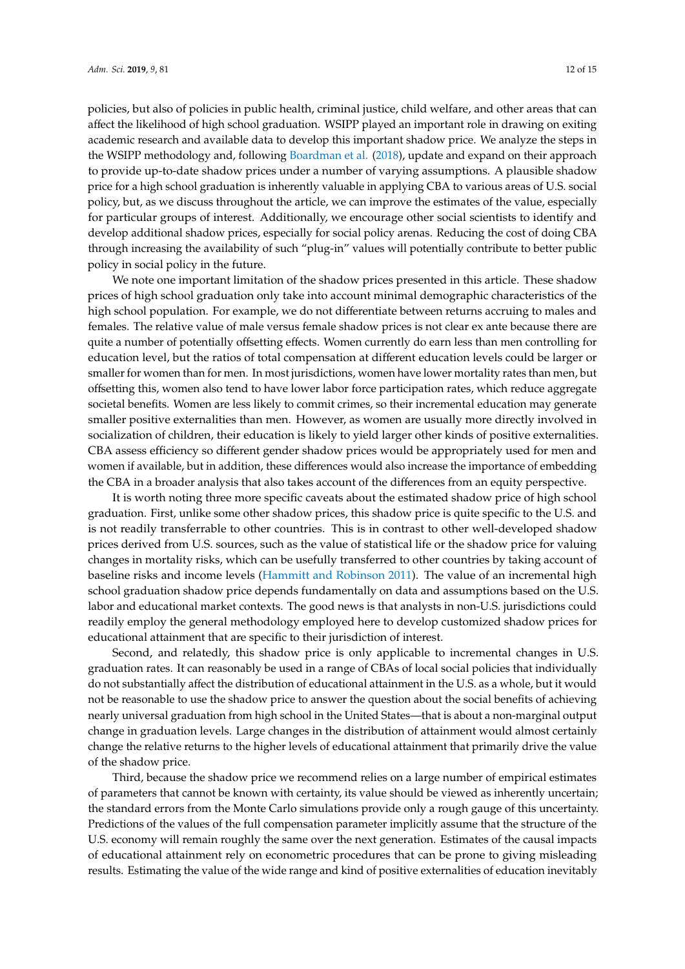policies, but also of policies in public health, criminal justice, child welfare, and other areas that can affect the likelihood of high school graduation. WSIPP played an important role in drawing on exiting academic research and available data to develop this important shadow price. We analyze the steps in the WSIPP methodology and, following [Boardman et al.](#page-12-0) [\(2018\)](#page-12-0), update and expand on their approach to provide up-to-date shadow prices under a number of varying assumptions. A plausible shadow price for a high school graduation is inherently valuable in applying CBA to various areas of U.S. social policy, but, as we discuss throughout the article, we can improve the estimates of the value, especially for particular groups of interest. Additionally, we encourage other social scientists to identify and develop additional shadow prices, especially for social policy arenas. Reducing the cost of doing CBA through increasing the availability of such "plug-in" values will potentially contribute to better public policy in social policy in the future.

We note one important limitation of the shadow prices presented in this article. These shadow prices of high school graduation only take into account minimal demographic characteristics of the high school population. For example, we do not differentiate between returns accruing to males and females. The relative value of male versus female shadow prices is not clear ex ante because there are quite a number of potentially offsetting effects. Women currently do earn less than men controlling for education level, but the ratios of total compensation at different education levels could be larger or smaller for women than for men. In most jurisdictions, women have lower mortality rates than men, but offsetting this, women also tend to have lower labor force participation rates, which reduce aggregate societal benefits. Women are less likely to commit crimes, so their incremental education may generate smaller positive externalities than men. However, as women are usually more directly involved in socialization of children, their education is likely to yield larger other kinds of positive externalities. CBA assess efficiency so different gender shadow prices would be appropriately used for men and women if available, but in addition, these differences would also increase the importance of embedding the CBA in a broader analysis that also takes account of the differences from an equity perspective.

It is worth noting three more specific caveats about the estimated shadow price of high school graduation. First, unlike some other shadow prices, this shadow price is quite specific to the U.S. and is not readily transferrable to other countries. This is in contrast to other well-developed shadow prices derived from U.S. sources, such as the value of statistical life or the shadow price for valuing changes in mortality risks, which can be usefully transferred to other countries by taking account of baseline risks and income levels [\(Hammitt and Robinson](#page-13-23) [2011\)](#page-13-23). The value of an incremental high school graduation shadow price depends fundamentally on data and assumptions based on the U.S. labor and educational market contexts. The good news is that analysts in non-U.S. jurisdictions could readily employ the general methodology employed here to develop customized shadow prices for educational attainment that are specific to their jurisdiction of interest.

Second, and relatedly, this shadow price is only applicable to incremental changes in U.S. graduation rates. It can reasonably be used in a range of CBAs of local social policies that individually do not substantially affect the distribution of educational attainment in the U.S. as a whole, but it would not be reasonable to use the shadow price to answer the question about the social benefits of achieving nearly universal graduation from high school in the United States—that is about a non-marginal output change in graduation levels. Large changes in the distribution of attainment would almost certainly change the relative returns to the higher levels of educational attainment that primarily drive the value of the shadow price.

Third, because the shadow price we recommend relies on a large number of empirical estimates of parameters that cannot be known with certainty, its value should be viewed as inherently uncertain; the standard errors from the Monte Carlo simulations provide only a rough gauge of this uncertainty. Predictions of the values of the full compensation parameter implicitly assume that the structure of the U.S. economy will remain roughly the same over the next generation. Estimates of the causal impacts of educational attainment rely on econometric procedures that can be prone to giving misleading results. Estimating the value of the wide range and kind of positive externalities of education inevitably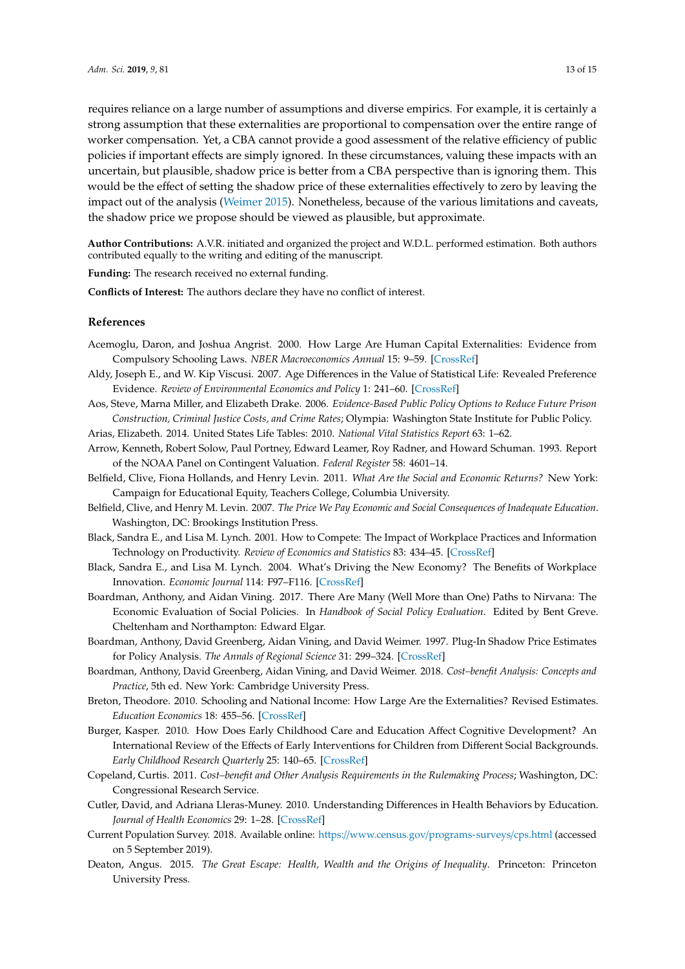requires reliance on a large number of assumptions and diverse empirics. For example, it is certainly a strong assumption that these externalities are proportional to compensation over the entire range of worker compensation. Yet, a CBA cannot provide a good assessment of the relative efficiency of public policies if important effects are simply ignored. In these circumstances, valuing these impacts with an uncertain, but plausible, shadow price is better from a CBA perspective than is ignoring them. This would be the effect of setting the shadow price of these externalities effectively to zero by leaving the impact out of the analysis [\(Weimer](#page-14-13) [2015\)](#page-14-13). Nonetheless, because of the various limitations and caveats, the shadow price we propose should be viewed as plausible, but approximate.

**Author Contributions:** A.V.R. initiated and organized the project and W.D.L. performed estimation. Both authors contributed equally to the writing and editing of the manuscript.

**Funding:** The research received no external funding.

**Conflicts of Interest:** The authors declare they have no conflict of interest.

### **References**

- <span id="page-12-12"></span>Acemoglu, Daron, and Joshua Angrist. 2000. How Large Are Human Capital Externalities: Evidence from Compulsory Schooling Laws. *NBER Macroeconomics Annual* 15: 9–59. [\[CrossRef\]](http://dx.doi.org/10.1086/654403)
- <span id="page-12-15"></span>Aldy, Joseph E., and W. Kip Viscusi. 2007. Age Differences in the Value of Statistical Life: Revealed Preference Evidence. *Review of Environmental Economics and Policy* 1: 241–60. [\[CrossRef\]](http://dx.doi.org/10.1093/reep/rem014)
- <span id="page-12-5"></span>Aos, Steve, Marna Miller, and Elizabeth Drake. 2006. *Evidence-Based Public Policy Options to Reduce Future Prison Construction, Criminal Justice Costs, and Crime Rates*; Olympia: Washington State Institute for Public Policy.
- <span id="page-12-10"></span>Arias, Elizabeth. 2014. United States Life Tables: 2010. *National Vital Statistics Report* 63: 1–62.
- <span id="page-12-2"></span>Arrow, Kenneth, Robert Solow, Paul Portney, Edward Leamer, Roy Radner, and Howard Schuman. 1993. Report of the NOAA Panel on Contingent Valuation. *Federal Register* 58: 4601–14.
- <span id="page-12-14"></span>Belfield, Clive, Fiona Hollands, and Henry Levin. 2011. *What Are the Social and Economic Returns?* New York: Campaign for Educational Equity, Teachers College, Columbia University.
- <span id="page-12-1"></span>Belfield, Clive, and Henry M. Levin. 2007. *The Price We Pay Economic and Social Consequences of Inadequate Education*. Washington, DC: Brookings Institution Press.
- <span id="page-12-7"></span>Black, Sandra E., and Lisa M. Lynch. 2001. How to Compete: The Impact of Workplace Practices and Information Technology on Productivity. *Review of Economics and Statistics* 83: 434–45. [\[CrossRef\]](http://dx.doi.org/10.1162/00346530152480081)
- <span id="page-12-8"></span>Black, Sandra E., and Lisa M. Lynch. 2004. What's Driving the New Economy? The Benefits of Workplace Innovation. *Economic Journal* 114: F97–F116. [\[CrossRef\]](http://dx.doi.org/10.1111/j.0013-0133.2004.00189.x)
- <span id="page-12-4"></span>Boardman, Anthony, and Aidan Vining. 2017. There Are Many (Well More than One) Paths to Nirvana: The Economic Evaluation of Social Policies. In *Handbook of Social Policy Evaluation*. Edited by Bent Greve. Cheltenham and Northampton: Edward Elgar.
- <span id="page-12-6"></span>Boardman, Anthony, David Greenberg, Aidan Vining, and David Weimer. 1997. Plug-In Shadow Price Estimates for Policy Analysis. *The Annals of Regional Science* 31: 299–324. [\[CrossRef\]](http://dx.doi.org/10.1007/s001680050051)
- <span id="page-12-0"></span>Boardman, Anthony, David Greenberg, Aidan Vining, and David Weimer. 2018. *Cost–benefit Analysis: Concepts and Practice*, 5th ed. New York: Cambridge University Press.
- <span id="page-12-13"></span>Breton, Theodore. 2010. Schooling and National Income: How Large Are the Externalities? Revised Estimates. *Education Economics* 18: 455–56. [\[CrossRef\]](http://dx.doi.org/10.1080/09645292.2010.524430)
- <span id="page-12-9"></span>Burger, Kasper. 2010. How Does Early Childhood Care and Education Affect Cognitive Development? An International Review of the Effects of Early Interventions for Children from Different Social Backgrounds. *Early Childhood Research Quarterly* 25: 140–65. [\[CrossRef\]](http://dx.doi.org/10.1016/j.ecresq.2009.11.001)
- <span id="page-12-3"></span>Copeland, Curtis. 2011. *Cost–benefit and Other Analysis Requirements in the Rulemaking Process*; Washington, DC: Congressional Research Service.
- <span id="page-12-17"></span>Cutler, David, and Adriana Lleras-Muney. 2010. Understanding Differences in Health Behaviors by Education. *Journal of Health Economics* 29: 1–28. [\[CrossRef\]](http://dx.doi.org/10.1016/j.jhealeco.2009.10.003)
- <span id="page-12-11"></span>Current Population Survey. 2018. Available online: https://www.census.gov/[programs-surveys](https://www.census.gov/programs-surveys/cps.html)/cps.html (accessed on 5 September 2019).
- <span id="page-12-16"></span>Deaton, Angus. 2015. *The Great Escape: Health, Wealth and the Origins of Inequality*. Princeton: Princeton University Press.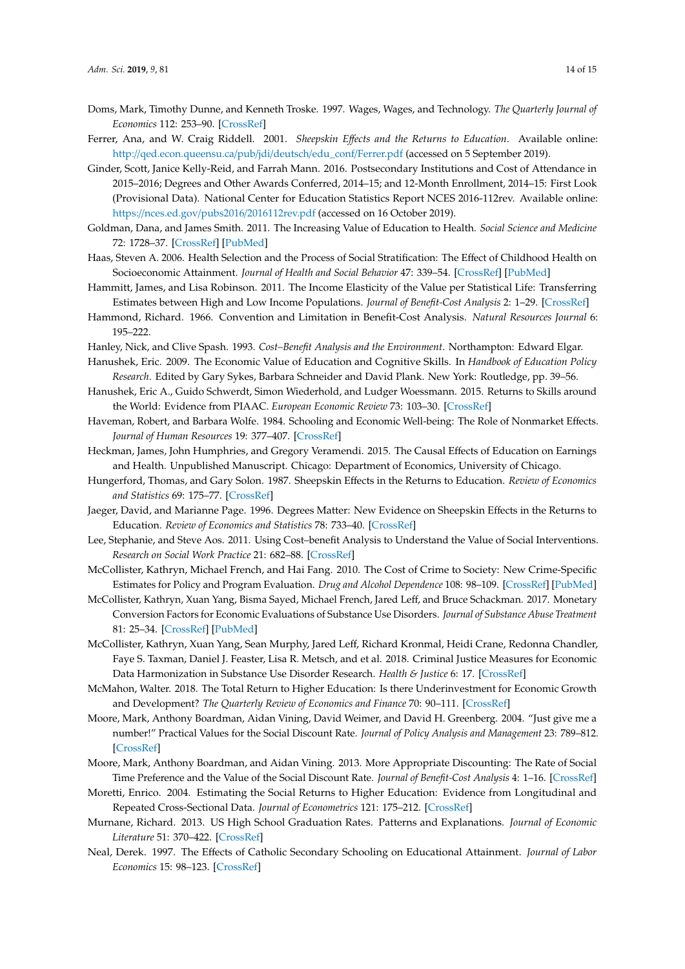- <span id="page-13-16"></span>Doms, Mark, Timothy Dunne, and Kenneth Troske. 1997. Wages, Wages, and Technology. *The Quarterly Journal of Economics* 112: 253–90. [\[CrossRef\]](http://dx.doi.org/10.1162/003355397555181)
- <span id="page-13-3"></span>Ferrer, Ana, and W. Craig Riddell. 2001. *Sheepskin E*ff*ects and the Returns to Education*. Available online: http://[qed.econ.queensu.ca](http://qed.econ.queensu.ca/pub/jdi/deutsch/edu_conf/Ferrer.pdf)/pub/jdi/deutsch/edu\_conf/Ferrer.pdf (accessed on 5 September 2019).
- <span id="page-13-20"></span>Ginder, Scott, Janice Kelly-Reid, and Farrah Mann. 2016. Postsecondary Institutions and Cost of Attendance in 2015–2016; Degrees and Other Awards Conferred, 2014–15; and 12-Month Enrollment, 2014–15: First Look (Provisional Data). National Center for Education Statistics Report NCES 2016-112rev. Available online: https://nces.ed.gov/pubs2016/[2016112rev.pdf](https://nces.ed.gov/pubs2016/2016112rev.pdf) (accessed on 16 October 2019).
- <span id="page-13-17"></span>Goldman, Dana, and James Smith. 2011. The Increasing Value of Education to Health. *Social Science and Medicine* 72: 1728–37. [\[CrossRef\]](http://dx.doi.org/10.1016/j.socscimed.2011.02.047) [\[PubMed\]](http://www.ncbi.nlm.nih.gov/pubmed/21555176)
- <span id="page-13-18"></span>Haas, Steven A. 2006. Health Selection and the Process of Social Stratification: The Effect of Childhood Health on Socioeconomic Attainment. *Journal of Health and Social Behavior* 47: 339–54. [\[CrossRef\]](http://dx.doi.org/10.1177/002214650604700403) [\[PubMed\]](http://www.ncbi.nlm.nih.gov/pubmed/17240924)
- <span id="page-13-23"></span>Hammitt, James, and Lisa Robinson. 2011. The Income Elasticity of the Value per Statistical Life: Transferring Estimates between High and Low Income Populations. *Journal of Benefit-Cost Analysis* 2: 1–29. [\[CrossRef\]](http://dx.doi.org/10.2202/2152-2812.1009)
- <span id="page-13-8"></span>Hammond, Richard. 1966. Convention and Limitation in Benefit-Cost Analysis. *Natural Resources Journal* 6: 195–222.
- <span id="page-13-9"></span><span id="page-13-4"></span>Hanley, Nick, and Clive Spash. 1993. *Cost–Benefit Analysis and the Environment*. Northampton: Edward Elgar.
- Hanushek, Eric. 2009. The Economic Value of Education and Cognitive Skills. In *Handbook of Education Policy Research*. Edited by Gary Sykes, Barbara Schneider and David Plank. New York: Routledge, pp. 39–56.
- <span id="page-13-5"></span>Hanushek, Eric A., Guido Schwerdt, Simon Wiederhold, and Ludger Woessmann. 2015. Returns to Skills around the World: Evidence from PIAAC. *European Economic Review* 73: 103–30. [\[CrossRef\]](http://dx.doi.org/10.1016/j.euroecorev.2014.10.006)
- <span id="page-13-21"></span>Haveman, Robert, and Barbara Wolfe. 1984. Schooling and Economic Well-being: The Role of Nonmarket Effects. *Journal of Human Resources* 19: 377–407. [\[CrossRef\]](http://dx.doi.org/10.2307/145879)
- <span id="page-13-14"></span>Heckman, James, John Humphries, and Gregory Veramendi. 2015. The Causal Effects of Education on Earnings and Health. Unpublished Manuscript. Chicago: Department of Economics, University of Chicago.
- <span id="page-13-0"></span>Hungerford, Thomas, and Gary Solon. 1987. Sheepskin Effects in the Returns to Education. *Review of Economics and Statistics* 69: 175–77. [\[CrossRef\]](http://dx.doi.org/10.2307/1937919)
- <span id="page-13-1"></span>Jaeger, David, and Marianne Page. 1996. Degrees Matter: New Evidence on Sheepskin Effects in the Returns to Education. *Review of Economics and Statistics* 78: 733–40. [\[CrossRef\]](http://dx.doi.org/10.2307/2109960)
- <span id="page-13-10"></span>Lee, Stephanie, and Steve Aos. 2011. Using Cost–benefit Analysis to Understand the Value of Social Interventions. *Research on Social Work Practice* 21: 682–88. [\[CrossRef\]](http://dx.doi.org/10.1177/1049731511410551)
- <span id="page-13-11"></span>McCollister, Kathryn, Michael French, and Hai Fang. 2010. The Cost of Crime to Society: New Crime-Specific Estimates for Policy and Program Evaluation. *Drug and Alcohol Dependence* 108: 98–109. [\[CrossRef\]](http://dx.doi.org/10.1016/j.drugalcdep.2009.12.002) [\[PubMed\]](http://www.ncbi.nlm.nih.gov/pubmed/20071107)
- <span id="page-13-12"></span>McCollister, Kathryn, Xuan Yang, Bisma Sayed, Michael French, Jared Leff, and Bruce Schackman. 2017. Monetary Conversion Factors for Economic Evaluations of Substance Use Disorders. *Journal of Substance Abuse Treatment* 81: 25–34. [\[CrossRef\]](http://dx.doi.org/10.1016/j.jsat.2017.07.008) [\[PubMed\]](http://www.ncbi.nlm.nih.gov/pubmed/28847452)
- <span id="page-13-13"></span>McCollister, Kathryn, Xuan Yang, Sean Murphy, Jared Leff, Richard Kronmal, Heidi Crane, Redonna Chandler, Faye S. Taxman, Daniel J. Feaster, Lisa R. Metsch, and et al. 2018. Criminal Justice Measures for Economic Data Harmonization in Substance Use Disorder Research. *Health & Justice* 6: 17. [\[CrossRef\]](http://dx.doi.org/10.1186/s40352-018-0073-6)
- <span id="page-13-22"></span>McMahon, Walter. 2018. The Total Return to Higher Education: Is there Underinvestment for Economic Growth and Development? *The Quarterly Review of Economics and Finance* 70: 90–111. [\[CrossRef\]](http://dx.doi.org/10.1016/j.qref.2018.05.005)
- <span id="page-13-6"></span>Moore, Mark, Anthony Boardman, Aidan Vining, David Weimer, and David H. Greenberg. 2004. "Just give me a number!" Practical Values for the Social Discount Rate. *Journal of Policy Analysis and Management* 23: 789–812. [\[CrossRef\]](http://dx.doi.org/10.1002/pam.20047)
- <span id="page-13-19"></span>Moore, Mark, Anthony Boardman, and Aidan Vining. 2013. More Appropriate Discounting: The Rate of Social Time Preference and the Value of the Social Discount Rate. *Journal of Benefit-Cost Analysis* 4: 1–16. [\[CrossRef\]](http://dx.doi.org/10.1515/jbca-2012-0008)
- <span id="page-13-15"></span>Moretti, Enrico. 2004. Estimating the Social Returns to Higher Education: Evidence from Longitudinal and Repeated Cross-Sectional Data. *Journal of Econometrics* 121: 175–212. [\[CrossRef\]](http://dx.doi.org/10.1016/j.jeconom.2003.10.015)
- <span id="page-13-7"></span>Murnane, Richard. 2013. US High School Graduation Rates. Patterns and Explanations. *Journal of Economic Literature* 51: 370–422. [\[CrossRef\]](http://dx.doi.org/10.1257/jel.51.2.370)
- <span id="page-13-2"></span>Neal, Derek. 1997. The Effects of Catholic Secondary Schooling on Educational Attainment. *Journal of Labor Economics* 15: 98–123. [\[CrossRef\]](http://dx.doi.org/10.1086/209848)